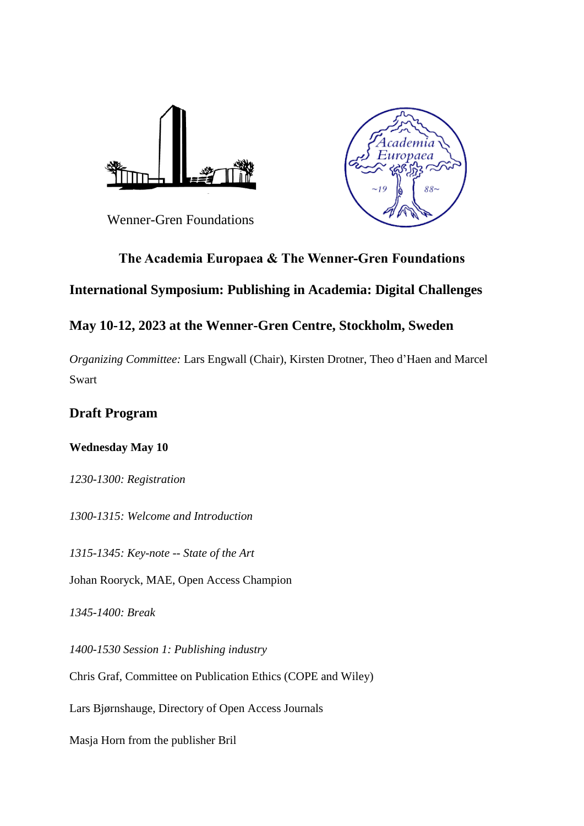



Wenner-Gren Foundations

# **The Academia Europaea & The Wenner-Gren Foundations**

# **International Symposium: Publishing in Academia: Digital Challenges**

# **May 10-12, 2023 at the Wenner-Gren Centre, Stockholm, Sweden**

*Organizing Committee:* Lars Engwall (Chair), Kirsten Drotner, Theo d'Haen and Marcel Swart

## **Draft Program**

## **Wednesday May 10**

*1230-1300: Registration*

*1300-1315: Welcome and Introduction*

*1315-1345: Key-note -- State of the Art*

Johan Rooryck, MAE, Open Access Champion

*1345-1400: Break* 

*1400-1530 Session 1: Publishing industry*

Chris Graf, Committee on Publication Ethics (COPE and Wiley)

Lars Bjørnshauge, Directory of Open Access Journals

Masja Horn from the publisher Bril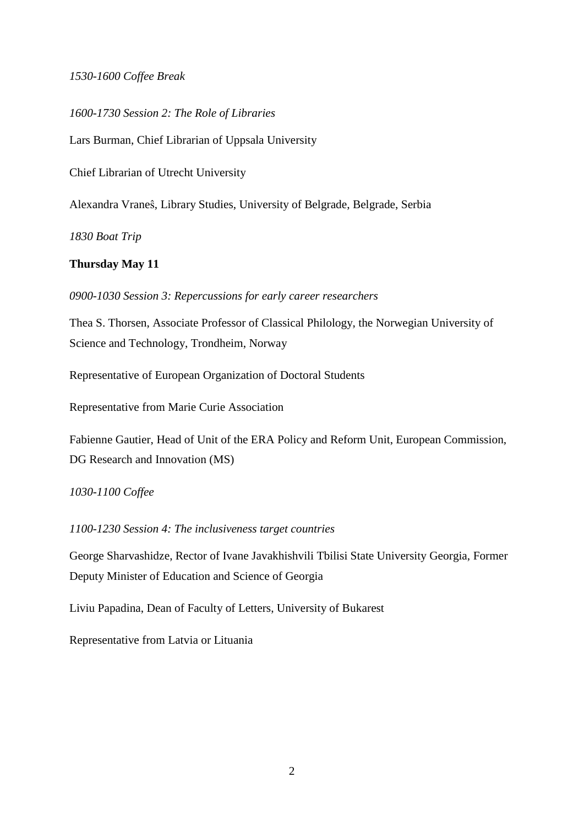### *1530-1600 Coffee Break*

*1600-1730 Session 2: The Role of Libraries*

Lars Burman, Chief Librarian of Uppsala University

Chief Librarian of Utrecht University

Alexandra Vraneŝ, Library Studies, University of Belgrade, Belgrade, Serbia

*1830 Boat Trip*

### **Thursday May 11**

*0900-1030 Session 3: Repercussions for early career researchers*

Thea S. Thorsen, Associate Professor of Classical Philology, the Norwegian University of Science and Technology, Trondheim, Norway

Representative of European Organization of Doctoral Students

Representative from Marie Curie Association

Fabienne Gautier, Head of Unit of the ERA Policy and Reform Unit, European Commission, DG Research and Innovation (MS)

### *1030-1100 Coffee*

*1100-1230 Session 4: The inclusiveness target countries*

George Sharvashidze, Rector of Ivane Javakhishvili Tbilisi State University Georgia, Former Deputy Minister of Education and Science of Georgia

Liviu Papadina, Dean of Faculty of Letters, University of Bukarest

Representative from Latvia or Lituania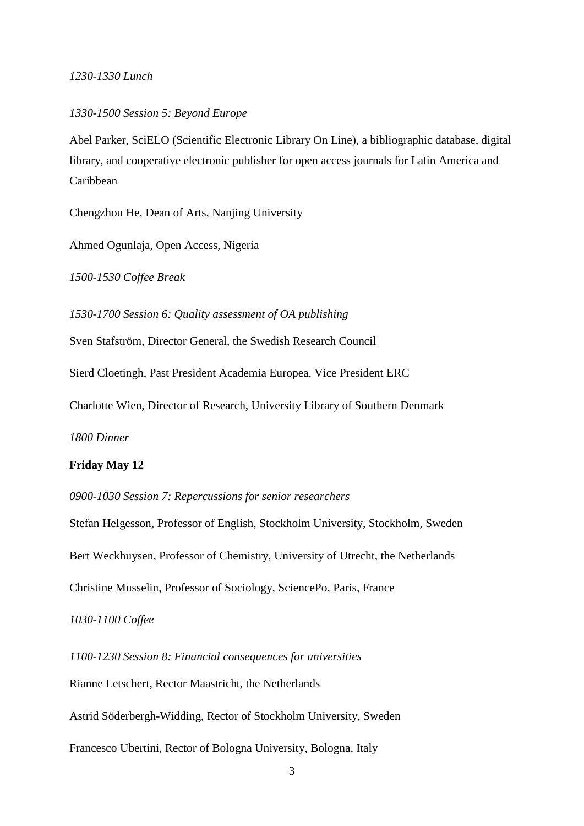#### *1230-1330 Lunch*

#### *1330-1500 Session 5: Beyond Europe*

Abel Parker, SciELO (Scientific Electronic Library On Line), a bibliographic database, digital library, and cooperative electronic publisher for open access journals for Latin America and Caribbean

Chengzhou He, Dean of Arts, Nanjing University

Ahmed Ogunlaja, Open Access, Nigeria

*1500-1530 Coffee Break*

*1530-1700 Session 6: Quality assessment of OA publishing*

Sven Stafström, Director General, the Swedish Research Council

Sierd Cloetingh, Past President Academia Europea, Vice President ERC

Charlotte Wien, Director of Research, University Library of Southern Denmark

*1800 Dinner*

#### **Friday May 12**

*0900-1030 Session 7: Repercussions for senior researchers*

Stefan Helgesson, Professor of English, Stockholm University, Stockholm, Sweden Bert Weckhuysen, Professor of Chemistry, University of Utrecht, the Netherlands Christine Musselin, Professor of Sociology, SciencePo, Paris, France

*1030-1100 Coffee*

*1100-1230 Session 8: Financial consequences for universities* Rianne Letschert, Rector Maastricht, the Netherlands Astrid Söderbergh-Widding, Rector of Stockholm University, Sweden Francesco Ubertini, Rector of Bologna University, Bologna, Italy